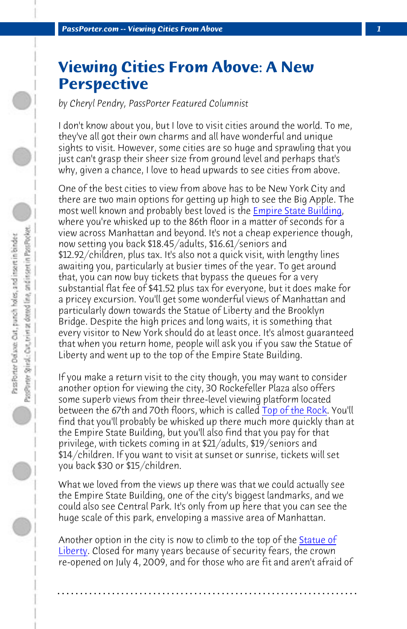**PassPorter.com -- Viewing Cities From Above** 

## **Viewing Cities From Above: A New Perspective**

*by Cheryl Pendry, PassPorter Featured Columnist*

I don't know about you, but I love to visit cities around the world. To me, they've all got their own charms and all have wonderful and unique sights to visit. However, some cities are so huge and sprawling that you just can't grasp their sheer size from ground level and perhaps that's why, given a chance, I love to head upwards to see cities from above.

One of the best cities to view from above has to be New York City and there are two main options for getting up high to see the Big Apple. The most well known and probably best loved is the Empire State Building, where you're whisked up to the 86th floor in a ma[tter of seconds f](http://www.topoftherocknyc.com/)or a view across Manhattan and beyond. It's not a cheap experience though, now setting you back \$18.45/adults, \$16.61/seniors and \$12.92/children, plus tax. It's also not a quick visit, with lengthy lines awaiting you, particularly at busier times of the year. To get around that, you can now buy tickets that bypass the queues for a very substantial flat fee of \$41.52 plus tax for everyone, but it does make for a pricey excursion. You'll get some wonderful views of Manhattan and particularly down towards the Statue of Liberty and the Brooklyn Bridge. Despite the high prices and long waits, it is something that every visitor to New York should do at least once. It's almost guaranteed that when you return home, people will ask you if you saw the Statue of Liberty and went up to the top of the Empire State Buildin[g.](http://www.nps.gov/stli/index.htm)

If you make a return visit to the city though, you may want to consider another option for viewing the city, 30 Rockefeller Plaza also offers some superb views from their three-level viewing platform located between the 67th and 70th floors, which is called Top of the Rock. You'll find that you'll probably be whisked up there much more quickly than at the Empire State Building, but you'll also find that you pay for that privilege, with tickets coming in at \$21/adults, \$19/seniors and \$14/children. If you want to visit at sunset or sunrise, tickets will set you back \$30 or \$15/children.

What we loved from the views up there was that we could actually see the Empire State Building, one of the city's biggest landmarks, and we could also see Central Park. It's only from up here that you can see the huge scale of this park, enveloping a massive area of Manhattan.

Another option in the city is now to climb to the top of the **Statue of** Liberty. Closed for many years because of security fears, the crown re-opened on July 4, 2009, and for those who are fit and aren't afraid of

**. . . . . . . . . . . . . . . . . . . . . . . . . . . . . . . . . . . . . . . . . . . . . . . . . . . . . . . . . . . . . . . . . .**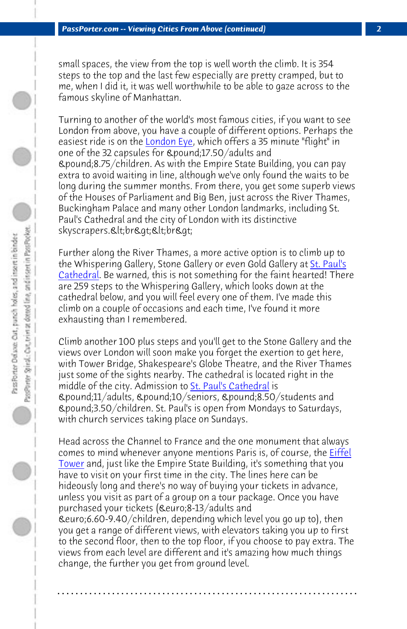*PassPorter.com -- Viewing Cities From Above (continued) 2*

small spaces, the view from the top is well worth the climb. It is 354 steps to the top and the last few especially are pretty crampe[d, but to](http://www.stpauls.co.uk/Visits-Events) [me, when](http://www.stpauls.co.uk/Visits-Events) I did it, it was well worthwhile to be able to gaze across to the famous skyline of Manhattan.

Turning to another of the world's most famous cities, if you want to see London from above, you have a couple of different options. Perhaps the easiest ride is on the London Eye, which offers a 35 minute "flight" in one of the 32 capsules for £17.50/adults and  $\mathcal{L}_{\mathcal{A}}$  2.75/children. As with the Empire State Building, you can pay extra to avoid waiting in line, although we've only found the waits to be long during the summer months. From there, you get some superb views of the Houses of Parliament an[d Big Ben, just acros](http://www.stpauls.co.uk/Visits-Events)s the River Thames, Buckingham Palace and many other London landmarks, including St. Paul's Cathedral and the city of London with its distinctive skyscrapers.<br><br>

Further along the River Thames, a more active option is to climb up to the Whispering Gallery, Stone Gallery or even Gold Gallery at St. P[aul](http://www.tour-eiffel.fr/teiffel/uk/)'[s](http://www.tour-eiffel.fr/teiffel/uk/) [Cathed](http://www.tour-eiffel.fr/teiffel/uk/)ral. Be warned, this is not something for the faint hearted! There are 259 steps to the Whispering Gallery, which looks down at the cathedral below, and you will feel every one of them. I've made this climb on a couple of occasions and each time, I've found it more exhausting than I remembered.

Climb another 100 plus steps and you'll get to the Stone Gallery and the views over London will soon make you forget the exertion to get here, with Tower Bridge, Shakespeare's Globe Theatre, and the River Thames just some of the sights nearby. The cathedral is located right in the middle of the city. Admission to St. Paul's Cathedral is £11/adults, £10/seniors, £8.50/students and £3.50/children. St. Paul's is open from Mondays to Saturdays, with church services taking place on Sundays.

Head across the Channel to France and the one monument that always comes to mind whenever anyone mentions Paris is, of course, the Eiffel Tower and, just like the Empire State Building, it's something that you have to visit on your first time in the city. The lines here can be hideously long and there's no way of buying your tickets in advance, unless you visit as part of a group on a tour package. Once you have purchased your tickets (€8-13/adults and €6.60-9.40/children, depending which level you go up to), then you get a range of different views, with elevators taking you up to first to the second floor, then to the top floor, if you choose to pay extra. The views from each level are different and it's amazing how much things change, the further you get from ground level.

**. . . . . . . . . . . . . . . . . . . . . . . . . . . . . . . . . . . . . . . . . . . . . . . . . . . . . . . . . . . . . . . . . .**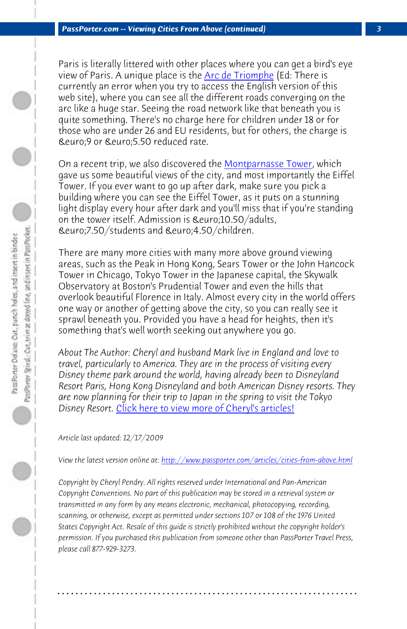*PassPorter.com -- Viewing Cities From Above (continued) 3*

Paris is literally littered with other places where you can get a bird's eye view of Paris. A unique place is the Arc de Triomphe (Ed: There is currently an error when you try to access the English version of this web site), where you can see all the different roads converging on the arc like a huge star. Seeing the road network like that beneath you is quite something. There's no charge here for children under 18 or for those who are under 26 and EU residents, but for others, the charge is €9 or €5.50 reduced rate.

On a recent trip, we also discovered the Montparnasse Tower, which gave us some beautiful views of the city, and most importantly the Eiffel Tower. If you ever want to go up after dark, make sure you pick a building where you can see the Eiffel Tower, as it puts on a stunning light display every hour after dark and you'll miss that if you're standing on the tower i[tself. Admission is €10.50/adults,](http://www.passporter.com/articles/cheryl-pendry-featured-columnist.asp) €7.50/students and €4.50/children.

There are many more cities with many more above ground viewing areas, such as the Peak in Hong Kong, Sears Tower or the John Hancock Tower in Chicago, Tokyo [Tower in the Japanese capital, the Skywalk](http://www.passporter.com/articles/cities-from-above.php) Observatory at Boston's Prudential Tower and even the hills that overlook beautiful Florence in Italy. Almost every city in the world offers one way or another of getting above the city, so you can really see it sprawl beneath you. Provided you have a head for heights, then it's something that's well worth seeking out anywhere you go.

*About The Author: Cheryl and husband Mark live in England and love to travel, particularly to America. They are in the process of visiting every Disney theme park around the world, having already been to Disneyland Resort Paris, Hong Kong Disneyland and both American Disney resorts. They are now planning for their trip to Japan in the spring to visit the Tokyo Disney Resort.* Click here to view more of Cheryl's articles!

*Article last updated: 12/17/2009*

*View the latest version online at: http://www.passporter.com/articles/cities-from-above.html*

*Copyright by Cheryl Pendry. All rights reserved under International and Pan-American Copyright Conventions. No part of this publication may be stored in a retrieval system or transmitted in any form by any means electronic, mechanical, photocopying, recording, scanning, or otherwise, except as permitted under sections 107 or 108 of the 1976 United States Copyright Act. Resale of this guide is strictly prohibited without the copyright holder's permission. If you purchased this publication from someone other than PassPorter Travel Press, please call 877-929-3273.*

**. . . . . . . . . . . . . . . . . . . . . . . . . . . . . . . . . . . . . . . . . . . . . . . . . . . . . . . . . . . . . . . . . .**

 $\bigcirc$